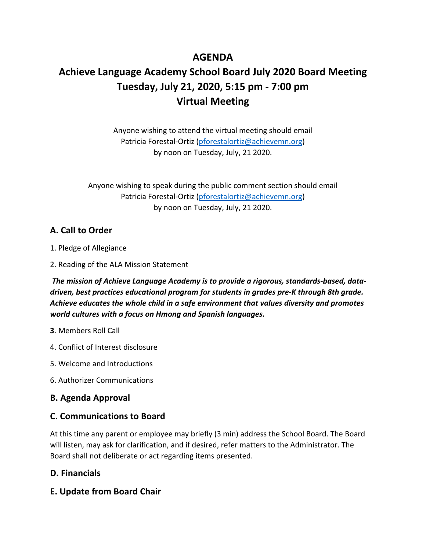# **AGENDA**

# **Achieve Language Academy School Board July 2020 Board Meeting Tuesday, July 21, 2020, 5:15 pm - 7:00 pm Virtual Meeting**

Anyone wishing to attend the virtual meeting should email Patricia Forestal-Ortiz (pforestalortiz@achievemn.org) by noon on Tuesday, July, 21 2020.

Anyone wishing to speak during the public comment section should email Patricia Forestal-Ortiz (pforestalortiz@achievemn.org) by noon on Tuesday, July, 21 2020.

## **A. Call to Order**

- 1. Pledge of Allegiance
- 2. Reading of the ALA Mission Statement

*The mission of Achieve Language Academy is to provide a rigorous, standards-based, datadriven, best practices educational program for students in grades pre-K through 8th grade. Achieve educates the whole child in a safe environment that values diversity and promotes world cultures with a focus on Hmong and Spanish languages.* 

- **3**. Members Roll Call
- 4. Conflict of Interest disclosure
- 5. Welcome and Introductions
- 6. Authorizer Communications

#### **B. Agenda Approval**

#### **C. Communications to Board**

At this time any parent or employee may briefly (3 min) address the School Board. The Board will listen, may ask for clarification, and if desired, refer matters to the Administrator. The Board shall not deliberate or act regarding items presented.

## **D. Financials**

**E. Update from Board Chair**